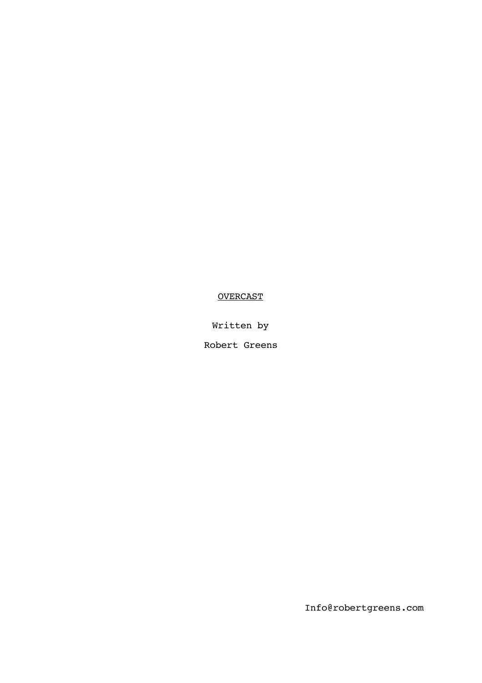# **OVERCAST**

Written by

Robert Greens

Info@robertgreens.com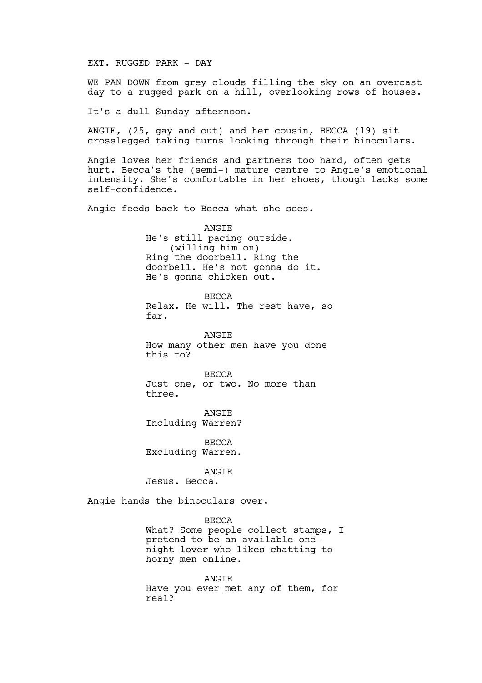## EXT. RUGGED PARK - DAY

WE PAN DOWN from grey clouds filling the sky on an overcast day to a rugged park on a hill, overlooking rows of houses.

It's a dull Sunday afternoon.

ANGIE, (25, gay and out) and her cousin, BECCA (19) sit crosslegged taking turns looking through their binoculars.

Angie loves her friends and partners too hard, often gets hurt. Becca's the (semi-) mature centre to Angie's emotional intensity. She's comfortable in her shoes, though lacks some self-confidence.

Angie feeds back to Becca what she sees.

ANGIE He's still pacing outside. (willing him on) Ring the doorbell. Ring the doorbell. He's not gonna do it. He's gonna chicken out.

BECCA Relax. He will. The rest have, so far.

ANGIE How many other men have you done this to?

BECCA Just one, or two. No more than three.

ANGIE Including Warren?

**BECCA** Excluding Warren.

ANGIE

Jesus. Becca.

Angie hands the binoculars over.

BECCA

What? Some people collect stamps, I pretend to be an available onenight lover who likes chatting to horny men online.

ANGIE Have you ever met any of them, for real?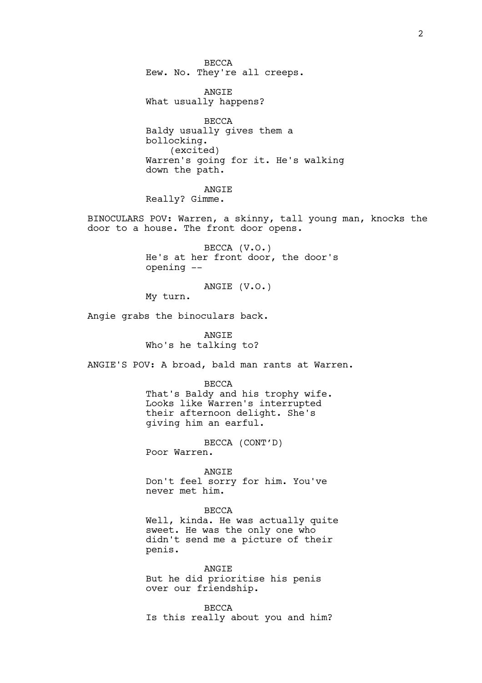BECCA Eew. No. They're all creeps.

ANGIE What usually happens?

**BECCA** Baldy usually gives them a bollocking. (excited) Warren's going for it. He's walking down the path.

ANGIE

Really? Gimme.

BINOCULARS POV: Warren, a skinny, tall young man, knocks the door to a house. The front door opens.

> BECCA (V.O.) He's at her front door, the door's opening --

ANGIE (V.O.)

My turn.

Angie grabs the binoculars back.

**ANGTE** Who's he talking to?

ANGIE'S POV: A broad, bald man rants at Warren.

BECCA

That's Baldy and his trophy wife. Looks like Warren's interrupted their afternoon delight. She's giving him an earful.

BECCA (CONT'D) Poor Warren.

ANGIE Don't feel sorry for him. You've never met him.

### BECCA

Well, kinda. He was actually quite sweet. He was the only one who didn't send me a picture of their penis.

ANGIE But he did prioritise his penis over our friendship.

BECCA Is this really about you and him?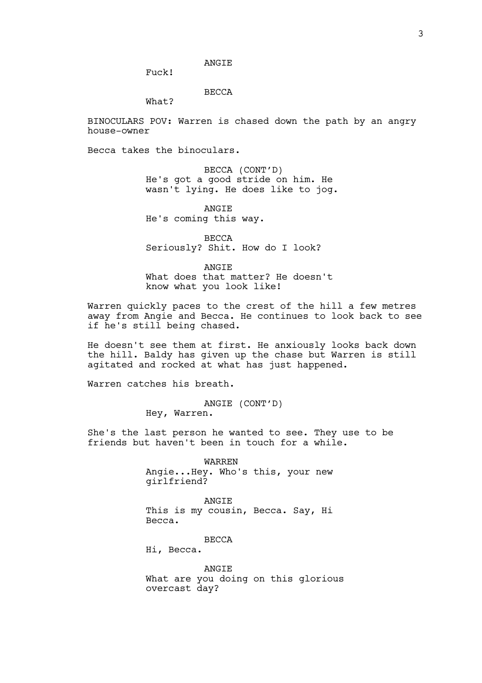### ANGIE

Fuck!

## BECCA

What?

BINOCULARS POV: Warren is chased down the path by an angry house-owner

Becca takes the binoculars.

BECCA (CONT'D) He's got a good stride on him. He wasn't lying. He does like to jog.

ANGIE He's coming this way.

BECCA Seriously? Shit. How do I look?

**ANGTE** What does that matter? He doesn't know what you look like!

Warren quickly paces to the crest of the hill a few metres away from Angie and Becca. He continues to look back to see if he's still being chased.

He doesn't see them at first. He anxiously looks back down the hill. Baldy has given up the chase but Warren is still agitated and rocked at what has just happened.

Warren catches his breath.

ANGIE (CONT'D) Hey, Warren.

She's the last person he wanted to see. They use to be friends but haven't been in touch for a while.

> WARREN Angie...Hey. Who's this, your new girlfriend?

> ANGIE This is my cousin, Becca. Say, Hi Becca.

> > **BECCA**

Hi, Becca.

**ANGTE** What are you doing on this glorious overcast day?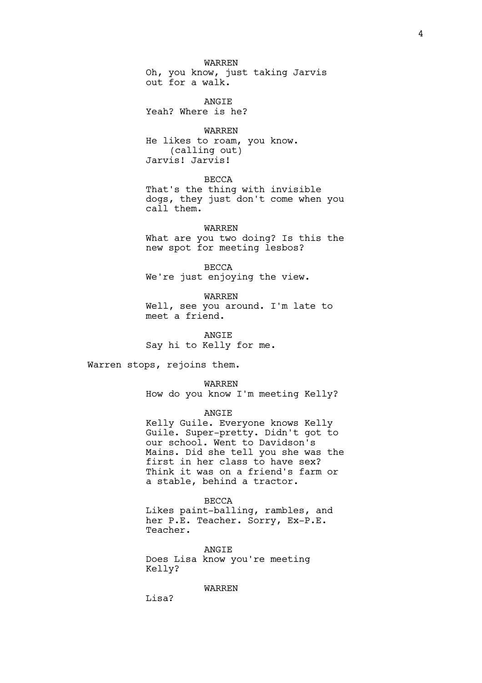WARREN Oh, you know, just taking Jarvis out for a walk.

ANGIE Yeah? Where is he?

WARREN He likes to roam, you know. (calling out) Jarvis! Jarvis!

BECCA That's the thing with invisible dogs, they just don't come when you call them.

WARREN What are you two doing? Is this the

new spot for meeting lesbos?

BECCA We're just enjoying the view.

WARREN Well, see you around. I'm late to meet a friend.

**ANGTE** Say hi to Kelly for me.

Warren stops, rejoins them.

WARREN How do you know I'm meeting Kelly?

ANGIE

Kelly Guile. Everyone knows Kelly Guile. Super-pretty. Didn't got to our school. Went to Davidson's Mains. Did she tell you she was the first in her class to have sex? Think it was on a friend's farm or a stable, behind a tractor.

BECCA Likes paint-balling, rambles, and her P.E. Teacher. Sorry, Ex-P.E. Teacher.

**ANGTE** Does Lisa know you're meeting Kelly?

WARREN

Lisa?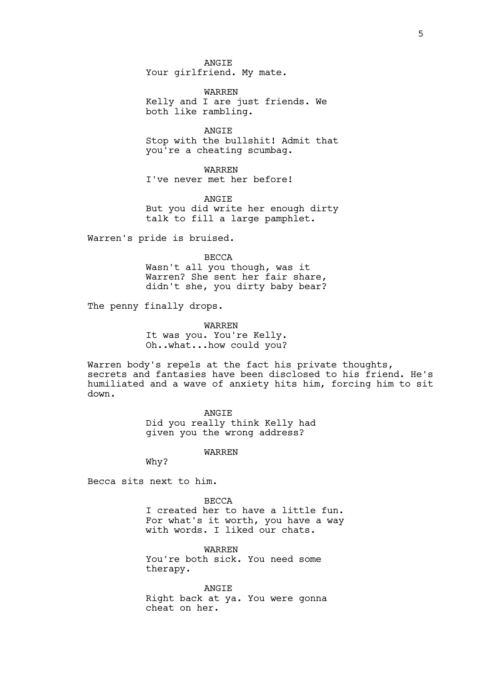ANGIE Your girlfriend. My mate.

WARREN Kelly and I are just friends. We both like rambling.

**ANGTE** Stop with the bullshit! Admit that you're a cheating scumbag.

WARREN I've never met her before!

ANGIE But you did write her enough dirty talk to fill a large pamphlet.

Warren's pride is bruised.

BECCA

Wasn't all you though, was it Warren? She sent her fair share, didn't she, you dirty baby bear?

The penny finally drops.

WARREN It was you. You're Kelly. Oh..what...how could you?

Warren body's repels at the fact his private thoughts, secrets and fantasies have been disclosed to his friend. He's humiliated and a wave of anxiety hits him, forcing him to sit down.

> ANGIE Did you really think Kelly had given you the wrong address?

> > WARREN

Why?

Becca sits next to him.

BECCA I created her to have a little fun. For what's it worth, you have a way with words. I liked our chats.

WARREN You're both sick. You need some therapy.

ANGIE Right back at ya. You were gonna cheat on her.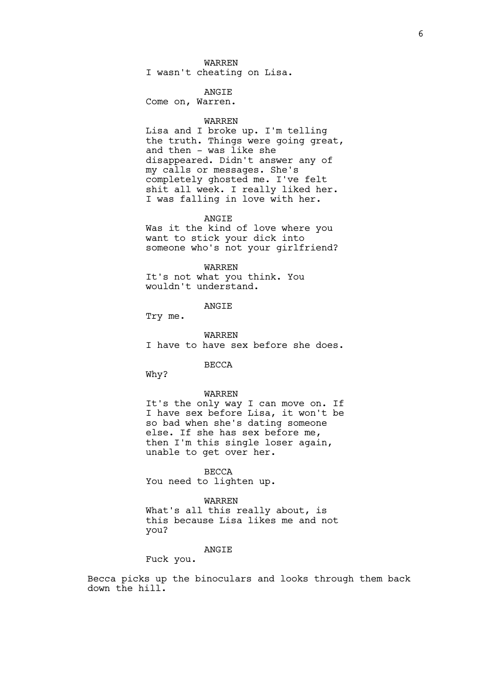#### WARREN

I wasn't cheating on Lisa.

## ANGIE

Come on, Warren.

### WARREN

Lisa and I broke up. I'm telling the truth. Things were going great, and then  $-$  was like she disappeared. Didn't answer any of my calls or messages. She's completely ghosted me. I've felt shit all week. I really liked her. I was falling in love with her.

#### ANGIE

Was it the kind of love where you want to stick your dick into someone who's not your girlfriend?

### WARREN

It's not what you think. You wouldn't understand.

## ANGIE

Try me.

### WARREN

I have to have sex before she does.

### BECCA

Why?

#### WARREN

It's the only way I can move on. If I have sex before Lisa, it won't be so bad when she's dating someone else. If she has sex before me, then I'm this single loser again, unable to get over her.

#### BECCA

You need to lighten up.

#### WARREN

What's all this really about, is this because Lisa likes me and not you?

## **ANGTE**

Fuck you.

Becca picks up the binoculars and looks through them back down the hill.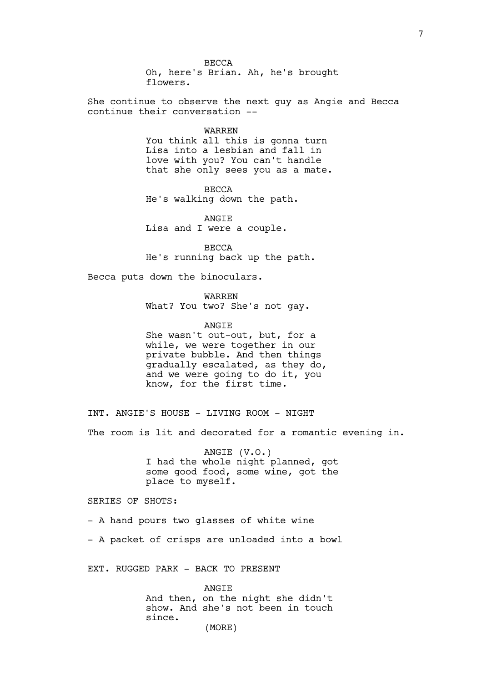BECCA Oh, here's Brian. Ah, he's brought flowers.

She continue to observe the next guy as Angie and Becca continue their conversation --

### WARREN

You think all this is gonna turn Lisa into a lesbian and fall in love with you? You can't handle that she only sees you as a mate.

BECCA He's walking down the path.

ANGIE Lisa and I were a couple.

BECCA He's running back up the path.

Becca puts down the binoculars.

WARREN

What? You two? She's not gay.

ANGIE She wasn't out-out, but, for a

while, we were together in our private bubble. And then things gradually escalated, as they do, and we were going to do it, you know, for the first time.

INT. ANGIE'S HOUSE - LIVING ROOM - NIGHT

The room is lit and decorated for a romantic evening in.

ANGIE (V.O.) I had the whole night planned, got some good food, some wine, got the place to myself.

SERIES OF SHOTS:

- A hand pours two glasses of white wine

- A packet of crisps are unloaded into a bowl

EXT. RUGGED PARK - BACK TO PRESENT

ANGIE And then, on the night she didn't show. And she's not been in touch since. (MORE)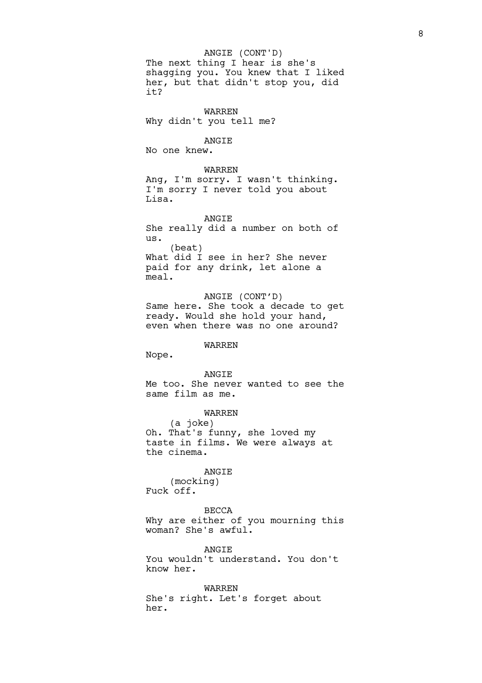The next thing I hear is she's shagging you. You knew that I liked her, but that didn't stop you, did it? ANGIE (CONT'D)

WARREN Why didn't you tell me?

ANGIE No one knew.

## WARREN

Ang, I'm sorry. I wasn't thinking. I'm sorry I never told you about Lisa.

ANGIE She really did a number on both of us. (beat) What did I see in her? She never paid for any drink, let alone a meal.

ANGIE (CONT'D) Same here. She took a decade to get ready. Would she hold your hand, even when there was no one around?

## WARREN

Nope.

## ANGIE

Me too. She never wanted to see the same film as me.

## WARREN

(a joke) Oh. That's funny, she loved my taste in films. We were always at the cinema.

## ANGIE

(mocking) Fuck off.

BECCA Why are either of you mourning this woman? She's awful.

ANGTE. You wouldn't understand. You don't know her.

WARREN She's right. Let's forget about her.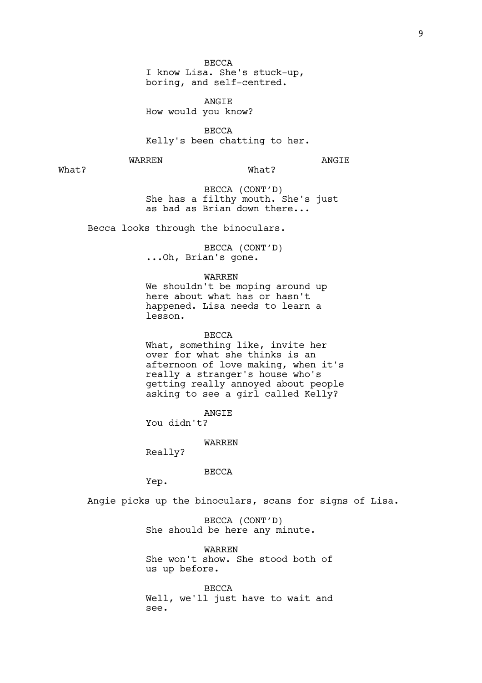BECCA

I know Lisa. She's stuck-up, boring, and self-centred.

ANGIE How would you know?

**BECCA** Kelly's been chatting to her.

WARREN

ANGIE

What?

What?

BECCA (CONT'D) She has a filthy mouth. She's just as bad as Brian down there...

Becca looks through the binoculars.

BECCA (CONT'D) ...Oh, Brian's gone.

WARREN

We shouldn't be moping around up here about what has or hasn't happened. Lisa needs to learn a lesson.

BECCA

What, something like, invite her over for what she thinks is an afternoon of love making, when it's really a stranger's house who's getting really annoyed about people asking to see a girl called Kelly?

ANGIE

You didn't?

WARREN

Really?

BECCA

Yep.

Angie picks up the binoculars, scans for signs of Lisa.

BECCA (CONT'D) She should be here any minute.

WARREN She won't show. She stood both of us up before.

BECCA Well, we'll just have to wait and see.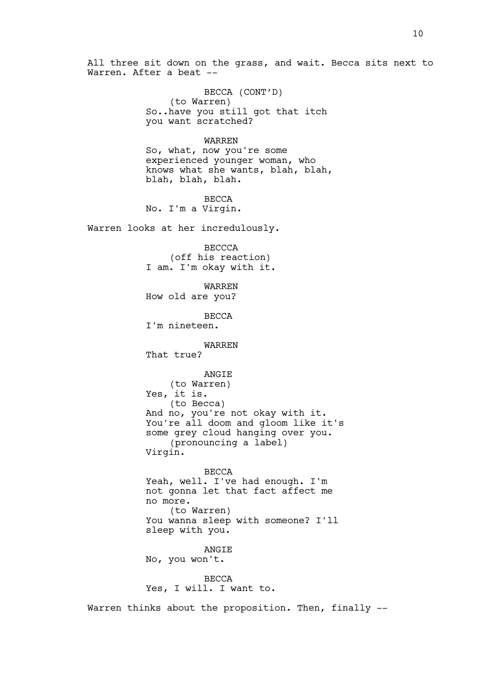All three sit down on the grass, and wait. Becca sits next to Warren. After a beat --

> BECCA (CONT'D) (to Warren) So..have you still got that itch you want scratched?

> > WARREN

So, what, now you're some experienced younger woman, who knows what she wants, blah, blah, blah, blah, blah.

BECCA No. I'm a Virgin.

Warren looks at her incredulously.

BECCCA (off his reaction) I am. I'm okay with it.

WARREN How old are you?

BECCA I'm nineteen.

WARREN

That true?

ANGIE (to Warren)

Yes, it is.

(to Becca) And no, you're not okay with it. You're all doom and gloom like it's some grey cloud hanging over you. (pronouncing a label) Virgin.

BECCA Yeah, well. I've had enough. I'm not gonna let that fact affect me no more. (to Warren) You wanna sleep with someone? I'll sleep with you.

**ANGTE** No, you won't.

**BECCA** Yes, I will. I want to.

Warren thinks about the proposition. Then, finally --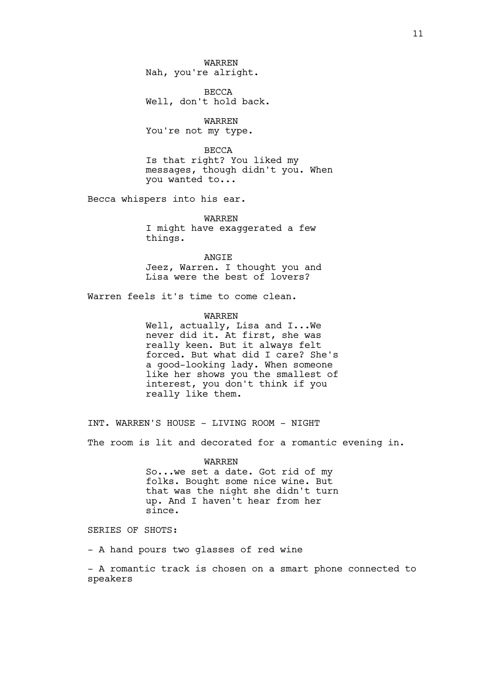WARREN Nah, you're alright.

BECCA Well, don't hold back.

WARREN You're not my type.

BECCA Is that right? You liked my messages, though didn't you. When you wanted to...

Becca whispers into his ear.

WARREN I might have exaggerated a few things.

ANGIE Jeez, Warren. I thought you and Lisa were the best of lovers?

Warren feels it's time to come clean.

WARREN Well, actually, Lisa and I...We never did it. At first, she was really keen. But it always felt forced. But what did I care? She's a good-looking lady. When someone like her shows you the smallest of interest, you don't think if you really like them.

INT. WARREN'S HOUSE - LIVING ROOM - NIGHT The room is lit and decorated for a romantic evening in.

> WARREN So...we set a date. Got rid of my folks. Bought some nice wine. But that was the night she didn't turn up. And I haven't hear from her since.

SERIES OF SHOTS:

- A hand pours two glasses of red wine

- A romantic track is chosen on a smart phone connected to speakers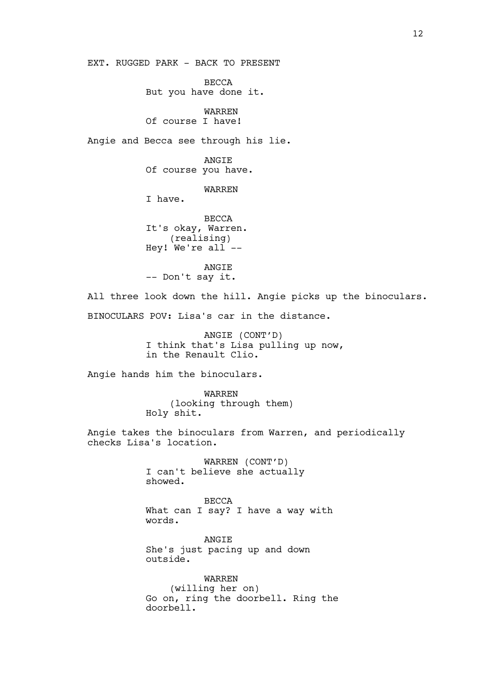EXT. RUGGED PARK - BACK TO PRESENT

BECCA But you have done it.

WARREN Of course I have!

Angie and Becca see through his lie.

ANGIE Of course you have.

WARREN

I have.

BECCA It's okay, Warren. (realising) Hey! We're  $a11$  --

ANGIE -- Don't say it.

All three look down the hill. Angie picks up the binoculars. BINOCULARS POV: Lisa's car in the distance.

> ANGIE (CONT'D) I think that's Lisa pulling up now, in the Renault Clio.

Angie hands him the binoculars.

WARREN (looking through them) Holy shit.

Angie takes the binoculars from Warren, and periodically checks Lisa's location.

> WARREN (CONT'D) I can't believe she actually showed.

BECCA What can I say? I have a way with words.

**ANGTE** She's just pacing up and down outside.

WARREN (willing her on) Go on, ring the doorbell. Ring the doorbell.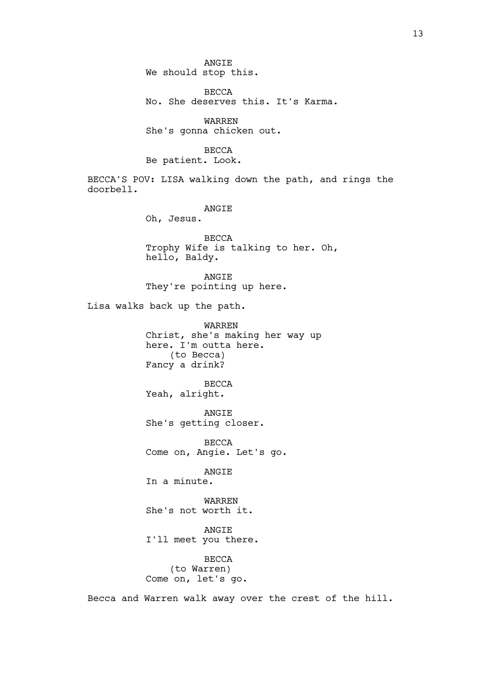ANGIE We should stop this.

BECCA No. She deserves this. It's Karma.

WARREN She's gonna chicken out.

## BECCA

Be patient. Look.

BECCA'S POV: LISA walking down the path, and rings the doorbell.

## ANGIE

Oh, Jesus.

**BECCA** Trophy Wife is talking to her. Oh, hello, Baldy.

ANGIE They're pointing up here.

Lisa walks back up the path.

WARREN Christ, she's making her way up here. I'm outta here. (to Becca) Fancy a drink?

BECCA Yeah, alright.

ANGIE She's getting closer.

BECCA Come on, Angie. Let's go.

# ANGIE

In a minute.

WARREN She's not worth it.

ANGIE I'll meet you there.

BECCA (to Warren) Come on, let's go.

Becca and Warren walk away over the crest of the hill.